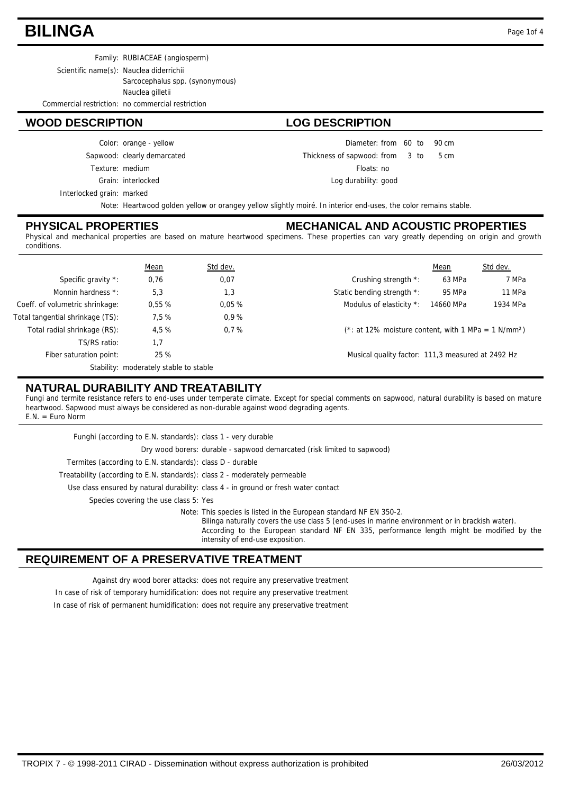### **BILINGA** Page 1of 4

Family: RUBIACEAE (angiosperm) Scientific name(s): Nauclea diderrichii Sarcocephalus spp. (synonymous) Nauclea gilletii

Commercial restriction: no commercial restriction

#### **WOOD DESCRIPTION LOG DESCRIPTION**

Interlocked grain: marked Grain: interlocked Texture: medium Sapwood: clearly demarcated Color: orange - yellow

Diameter: from 60 to 90 cm  $from 3 to 5 cm$ Thickness of sapwood:

Floats: no

Log durability: good

Note: Heartwood golden yellow or orangey yellow slightly moiré. In interior end-uses, the color remains stable.

#### **PHYSICAL PROPERTIES**

#### **MECHANICAL AND ACOUSTIC PROPERTIES**

Physical and mechanical properties are based on mature heartwood specimens. These properties can vary greatly depending on origin and growth conditions.

|                                  | Mean                                   | Std dev. |                                                                    | Mean      | Std dev. |
|----------------------------------|----------------------------------------|----------|--------------------------------------------------------------------|-----------|----------|
| Specific gravity *:              | 0,76                                   | 0,07     | Crushing strength *:                                               | 63 MPa    | 7 MPa    |
| Monnin hardness *:               | 5,3                                    | 1,3      | Static bending strength *:                                         | 95 MPa    | 11 MPa   |
| Coeff. of volumetric shrinkage:  | 0.55%                                  | 0.05%    | Modulus of elasticity *:                                           | 14660 MPa | 1934 MPa |
| Total tangential shrinkage (TS): | 7.5%                                   | 0.9%     |                                                                    |           |          |
| Total radial shrinkage (RS):     | 4.5%                                   | 0.7%     | $(*: at 12\%$ moisture content, with 1 MPa = 1 N/mm <sup>2</sup> ) |           |          |
| TS/RS ratio:                     | 1.7                                    |          |                                                                    |           |          |
| Fiber saturation point:          | 25 %                                   |          | Musical quality factor: 111,3 measured at 2492 Hz                  |           |          |
|                                  | Stability: moderately stable to stable |          |                                                                    |           |          |

### **NATURAL DURABILITY AND TREATABILITY**

Fungi and termite resistance refers to end-uses under temperate climate. Except for special comments on sapwood, natural durability is based on mature heartwood. Sapwood must always be considered as non-durable against wood degrading agents.  $E.N. = Euro Norm$ 

| Funghi (according to E.N. standards): class 1 - very durable               |                                                                                                                                                                                                                                                                                                        |
|----------------------------------------------------------------------------|--------------------------------------------------------------------------------------------------------------------------------------------------------------------------------------------------------------------------------------------------------------------------------------------------------|
|                                                                            | Dry wood borers: durable - sapwood demarcated (risk limited to sapwood)                                                                                                                                                                                                                                |
| Termites (according to E.N. standards): class D - durable                  |                                                                                                                                                                                                                                                                                                        |
| Treatability (according to E.N. standards): class 2 - moderately permeable |                                                                                                                                                                                                                                                                                                        |
|                                                                            | Use class ensured by natural durability: class 4 - in ground or fresh water contact                                                                                                                                                                                                                    |
| Species covering the use class 5: Yes                                      |                                                                                                                                                                                                                                                                                                        |
|                                                                            | Note: This species is listed in the European standard NF EN 350-2.<br>Bilinga naturally covers the use class 5 (end-uses in marine environment or in brackish water).<br>According to the European standard NF EN 335, performance length might be modified by the<br>intensity of end-use exposition. |

#### **REQUIREMENT OF A PRESERVATIVE TREATMENT**

Against dry wood borer attacks: does not require any preservative treatment

In case of risk of temporary humidification: does not require any preservative treatment In case of risk of permanent humidification: does not require any preservative treatment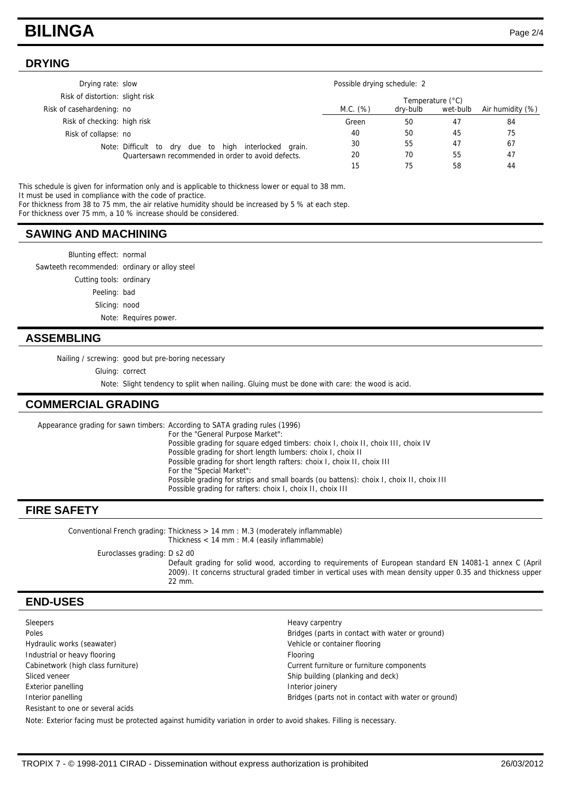### **BILINGA** Page 2/4

#### **DRYING**

| Drying rate: slow               |                                                          |                  | Possible drying schedule: 2 |          |                  |  |  |
|---------------------------------|----------------------------------------------------------|------------------|-----------------------------|----------|------------------|--|--|
| Risk of distortion: slight risk |                                                          | Temperature (°C) |                             |          |                  |  |  |
| Risk of casehardening: no       |                                                          | M.C. (%)         | dry-bulb                    | wet-bulb | Air humidity (%) |  |  |
| Risk of checking: high risk     |                                                          | Green            | 50                          | 47       | 84               |  |  |
| Risk of collapse: no            |                                                          | 40               | 50                          | 45       | 75               |  |  |
|                                 | dry due to high interlocked grain.<br>Note: Difficult to | 30               | 55                          | 47       | 67               |  |  |
|                                 | Quartersawn recommended in order to avoid defects.       | 20               | 70                          | 55       | 47               |  |  |
|                                 |                                                          | 15               | 75                          | 58       | 44               |  |  |

This schedule is given for information only and is applicable to thickness lower or equal to 38 mm. It must be used in compliance with the code of practice.

For thickness from 38 to 75 mm, the air relative humidity should be increased by 5 % at each step.

For thickness over 75 mm, a 10 % increase should be considered.

#### **SAWING AND MACHINING**

Blunting effect: normal Sawteeth recommended: ordinary or alloy steel Cutting tools: ordinary Peeling: bad Slicing: nood Note: Requires power.

#### **ASSEMBLING**

Nailing / screwing: good but pre-boring necessary

Gluing: correct

Note: Slight tendency to split when nailing. Gluing must be done with care: the wood is acid.

#### **COMMERCIAL GRADING**

Appearance grading for sawn timbers: According to SATA grading rules (1996) For the "General Purpose Market":

Possible grading for square edged timbers: choix I, choix II, choix III, choix IV Possible grading for short length lumbers: choix I, choix II Possible grading for short length rafters: choix I, choix II, choix III For the "Special Market": Possible grading for strips and small boards (ou battens): choix I, choix II, choix III Possible grading for rafters: choix I, choix II, choix III

#### **FIRE SAFETY**

Conventional French grading: Thickness > 14 mm : M.3 (moderately inflammable) Thickness < 14 mm : M.4 (easily inflammable)

Euroclasses grading: D s2 d0

Default grading for solid wood, according to requirements of European standard EN 14081-1 annex C (April 2009). It concerns structural graded timber in vertical uses with mean density upper 0.35 and thickness upper 22 mm.

#### **END-USES**

Sleepers Heavy carpentry Poles **Poles** Bridges (parts in contact with water or ground) Hydraulic works (seawater) Vehicle or container flooring Industrial or heavy flooring example of the state of the Flooring Flooring Cabinetwork (high class furniture) Current furniture or furniture components Sliced veneer Ship building (planking and deck) Exterior panelling **Interior images** Interior joinery Interior panelling Bridges (parts not in contact with water or ground) Resistant to one or several acids Note: Exterior facing must be protected against humidity variation in order to avoid shakes. Filling is necessary.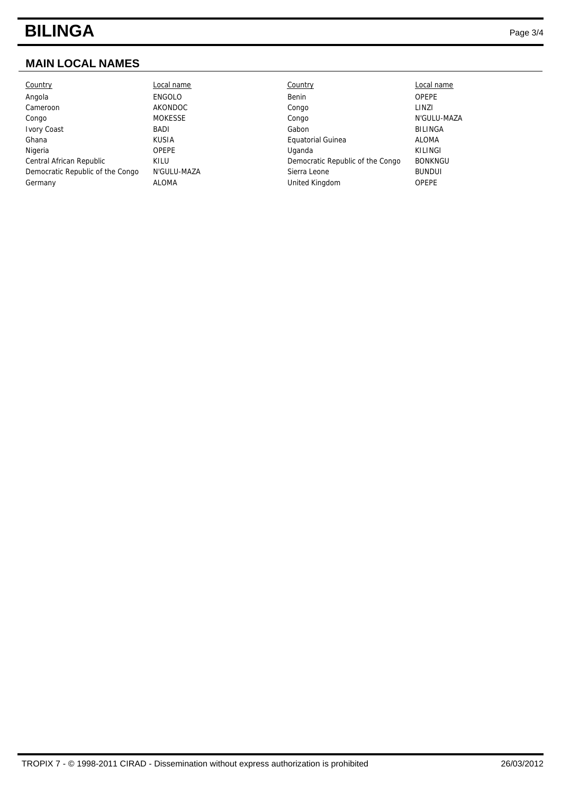# **BILINGA** Page 3/4

### **MAIN LOCAL NAMES**

| Country                          | Local name     | Country                          | Local name     |
|----------------------------------|----------------|----------------------------------|----------------|
| Angola                           | <b>ENGOLO</b>  | Benin                            | <b>OPEPE</b>   |
| Cameroon                         | AKONDOC        | Congo                            | LINZI          |
| Congo                            | <b>MOKESSE</b> | Congo                            | N'GULU-MAZA    |
| <b>Ivory Coast</b>               | <b>BADI</b>    | Gabon                            | <b>BILINGA</b> |
| Ghana                            | KUSIA          | Equatorial Guinea                | <b>ALOMA</b>   |
| Nigeria                          | <b>OPEPE</b>   | Uganda                           | KILINGI        |
| Central African Republic         | KILU           | Democratic Republic of the Congo | <b>BONKNGU</b> |
| Democratic Republic of the Congo | N'GULU-MAZA    | Sierra Leone                     | <b>BUNDUI</b>  |
| Germany                          | <b>ALOMA</b>   | United Kingdom                   | <b>OPEPE</b>   |